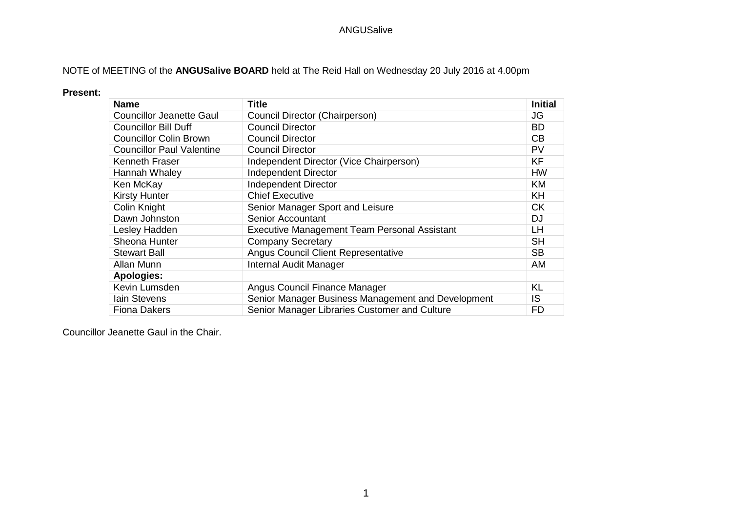# NOTE of MEETING of the **ANGUSalive BOARD** held at The Reid Hall on Wednesday 20 July 2016 at 4.00pm

#### **Present:**

| <b>Name</b>                      | Title                                               | <b>Initial</b> |
|----------------------------------|-----------------------------------------------------|----------------|
| <b>Councillor Jeanette Gaul</b>  | Council Director (Chairperson)                      | JG             |
| <b>Councillor Bill Duff</b>      | <b>Council Director</b>                             | BD.            |
| <b>Councillor Colin Brown</b>    | <b>Council Director</b>                             | CB             |
| <b>Councillor Paul Valentine</b> | <b>Council Director</b>                             | PV             |
| Kenneth Fraser                   | Independent Director (Vice Chairperson)             | <b>KF</b>      |
| Hannah Whaley                    | <b>Independent Director</b>                         | <b>HW</b>      |
| Ken McKay                        | Independent Director                                | <b>KM</b>      |
| <b>Kirsty Hunter</b>             | <b>Chief Executive</b>                              | <b>KH</b>      |
| Colin Knight                     | Senior Manager Sport and Leisure                    | <b>CK</b>      |
| Dawn Johnston                    | <b>Senior Accountant</b>                            | DJ             |
| Lesley Hadden                    | <b>Executive Management Team Personal Assistant</b> | <b>LH</b>      |
| Sheona Hunter                    | <b>Company Secretary</b>                            | <b>SH</b>      |
| <b>Stewart Ball</b>              | <b>Angus Council Client Representative</b>          | <b>SB</b>      |
| Allan Munn                       | Internal Audit Manager                              | AM             |
| <b>Apologies:</b>                |                                                     |                |
| Kevin Lumsden                    | Angus Council Finance Manager                       | <b>KL</b>      |
| lain Stevens                     | Senior Manager Business Management and Development  | IS             |
| <b>Fiona Dakers</b>              | Senior Manager Libraries Customer and Culture       | FD             |

Councillor Jeanette Gaul in the Chair.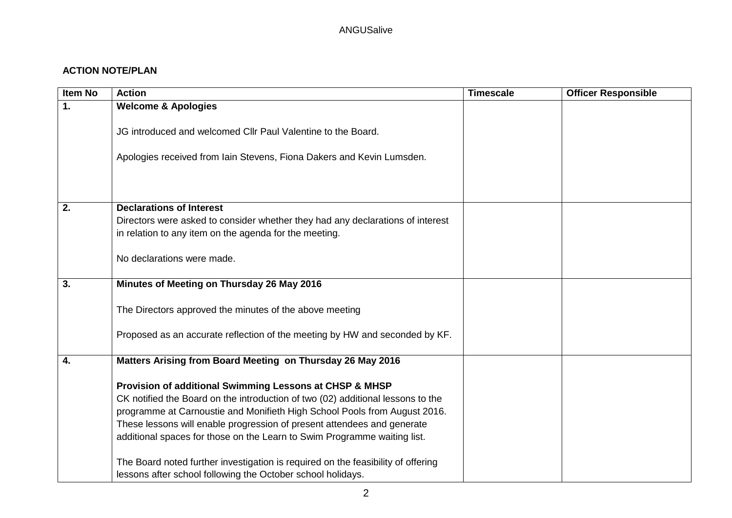# **ACTION NOTE/PLAN**

| <b>Item No</b> | <b>Action</b>                                                                                                                                                                                                                                                                                                                                                                                                                                                      | <b>Timescale</b> | <b>Officer Responsible</b> |
|----------------|--------------------------------------------------------------------------------------------------------------------------------------------------------------------------------------------------------------------------------------------------------------------------------------------------------------------------------------------------------------------------------------------------------------------------------------------------------------------|------------------|----------------------------|
| 1.             | <b>Welcome &amp; Apologies</b>                                                                                                                                                                                                                                                                                                                                                                                                                                     |                  |                            |
|                | JG introduced and welcomed CIIr Paul Valentine to the Board.                                                                                                                                                                                                                                                                                                                                                                                                       |                  |                            |
|                | Apologies received from Iain Stevens, Fiona Dakers and Kevin Lumsden.                                                                                                                                                                                                                                                                                                                                                                                              |                  |                            |
|                |                                                                                                                                                                                                                                                                                                                                                                                                                                                                    |                  |                            |
| 2.             | <b>Declarations of Interest</b>                                                                                                                                                                                                                                                                                                                                                                                                                                    |                  |                            |
|                | Directors were asked to consider whether they had any declarations of interest                                                                                                                                                                                                                                                                                                                                                                                     |                  |                            |
|                | in relation to any item on the agenda for the meeting.                                                                                                                                                                                                                                                                                                                                                                                                             |                  |                            |
|                | No declarations were made.                                                                                                                                                                                                                                                                                                                                                                                                                                         |                  |                            |
| 3.             | Minutes of Meeting on Thursday 26 May 2016                                                                                                                                                                                                                                                                                                                                                                                                                         |                  |                            |
|                | The Directors approved the minutes of the above meeting                                                                                                                                                                                                                                                                                                                                                                                                            |                  |                            |
|                | Proposed as an accurate reflection of the meeting by HW and seconded by KF.                                                                                                                                                                                                                                                                                                                                                                                        |                  |                            |
| 4.             | Matters Arising from Board Meeting on Thursday 26 May 2016                                                                                                                                                                                                                                                                                                                                                                                                         |                  |                            |
|                | Provision of additional Swimming Lessons at CHSP & MHSP<br>CK notified the Board on the introduction of two (02) additional lessons to the<br>programme at Carnoustie and Monifieth High School Pools from August 2016.<br>These lessons will enable progression of present attendees and generate<br>additional spaces for those on the Learn to Swim Programme waiting list.<br>The Board noted further investigation is required on the feasibility of offering |                  |                            |
|                | lessons after school following the October school holidays.                                                                                                                                                                                                                                                                                                                                                                                                        |                  |                            |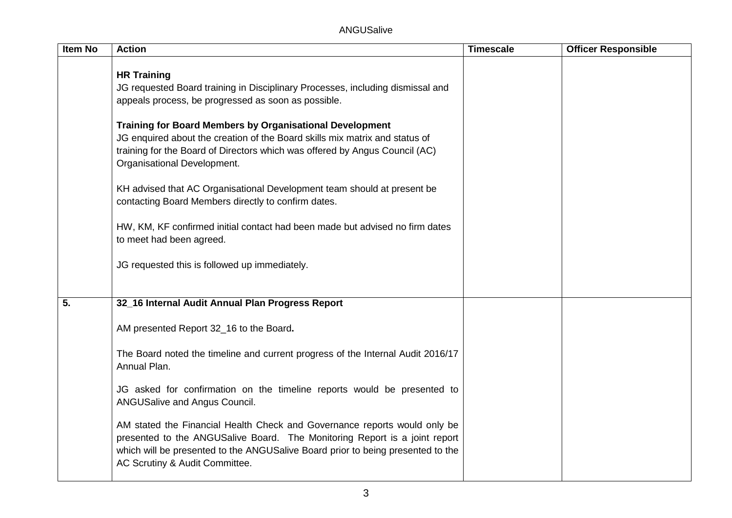| <b>Item No</b> | <b>Action</b>                                                                                                                                                                                                                                                                | <b>Timescale</b> | <b>Officer Responsible</b> |
|----------------|------------------------------------------------------------------------------------------------------------------------------------------------------------------------------------------------------------------------------------------------------------------------------|------------------|----------------------------|
|                | <b>HR Training</b><br>JG requested Board training in Disciplinary Processes, including dismissal and<br>appeals process, be progressed as soon as possible.                                                                                                                  |                  |                            |
|                | <b>Training for Board Members by Organisational Development</b><br>JG enquired about the creation of the Board skills mix matrix and status of<br>training for the Board of Directors which was offered by Angus Council (AC)<br>Organisational Development.                 |                  |                            |
|                | KH advised that AC Organisational Development team should at present be<br>contacting Board Members directly to confirm dates.                                                                                                                                               |                  |                            |
|                | HW, KM, KF confirmed initial contact had been made but advised no firm dates<br>to meet had been agreed.                                                                                                                                                                     |                  |                            |
|                | JG requested this is followed up immediately.                                                                                                                                                                                                                                |                  |                            |
| 5.             | 32_16 Internal Audit Annual Plan Progress Report                                                                                                                                                                                                                             |                  |                            |
|                | AM presented Report 32_16 to the Board.                                                                                                                                                                                                                                      |                  |                            |
|                | The Board noted the timeline and current progress of the Internal Audit 2016/17<br>Annual Plan.                                                                                                                                                                              |                  |                            |
|                | JG asked for confirmation on the timeline reports would be presented to<br>ANGUSalive and Angus Council.                                                                                                                                                                     |                  |                            |
|                | AM stated the Financial Health Check and Governance reports would only be<br>presented to the ANGUSalive Board. The Monitoring Report is a joint report<br>which will be presented to the ANGUSalive Board prior to being presented to the<br>AC Scrutiny & Audit Committee. |                  |                            |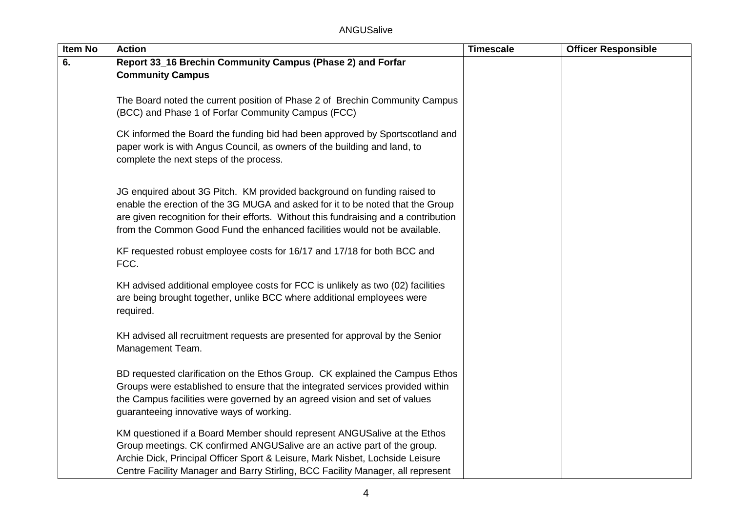| <b>Item No</b> | <b>Action</b>                                                                                                                     | <b>Timescale</b> | <b>Officer Responsible</b> |
|----------------|-----------------------------------------------------------------------------------------------------------------------------------|------------------|----------------------------|
| 6.             | Report 33_16 Brechin Community Campus (Phase 2) and Forfar                                                                        |                  |                            |
|                | <b>Community Campus</b>                                                                                                           |                  |                            |
|                |                                                                                                                                   |                  |                            |
|                | The Board noted the current position of Phase 2 of Brechin Community Campus<br>(BCC) and Phase 1 of Forfar Community Campus (FCC) |                  |                            |
|                |                                                                                                                                   |                  |                            |
|                | CK informed the Board the funding bid had been approved by Sportscotland and                                                      |                  |                            |
|                | paper work is with Angus Council, as owners of the building and land, to                                                          |                  |                            |
|                | complete the next steps of the process.                                                                                           |                  |                            |
|                |                                                                                                                                   |                  |                            |
|                | JG enquired about 3G Pitch. KM provided background on funding raised to                                                           |                  |                            |
|                | enable the erection of the 3G MUGA and asked for it to be noted that the Group                                                    |                  |                            |
|                | are given recognition for their efforts. Without this fundraising and a contribution                                              |                  |                            |
|                | from the Common Good Fund the enhanced facilities would not be available.                                                         |                  |                            |
|                | KF requested robust employee costs for 16/17 and 17/18 for both BCC and                                                           |                  |                            |
|                | FCC.                                                                                                                              |                  |                            |
|                |                                                                                                                                   |                  |                            |
|                | KH advised additional employee costs for FCC is unlikely as two (02) facilities                                                   |                  |                            |
|                | are being brought together, unlike BCC where additional employees were                                                            |                  |                            |
|                | required.                                                                                                                         |                  |                            |
|                | KH advised all recruitment requests are presented for approval by the Senior                                                      |                  |                            |
|                | Management Team.                                                                                                                  |                  |                            |
|                |                                                                                                                                   |                  |                            |
|                | BD requested clarification on the Ethos Group. CK explained the Campus Ethos                                                      |                  |                            |
|                | Groups were established to ensure that the integrated services provided within                                                    |                  |                            |
|                | the Campus facilities were governed by an agreed vision and set of values                                                         |                  |                            |
|                | guaranteeing innovative ways of working.                                                                                          |                  |                            |
|                | KM questioned if a Board Member should represent ANGUSalive at the Ethos                                                          |                  |                            |
|                | Group meetings. CK confirmed ANGUSalive are an active part of the group.                                                          |                  |                            |
|                | Archie Dick, Principal Officer Sport & Leisure, Mark Nisbet, Lochside Leisure                                                     |                  |                            |
|                | Centre Facility Manager and Barry Stirling, BCC Facility Manager, all represent                                                   |                  |                            |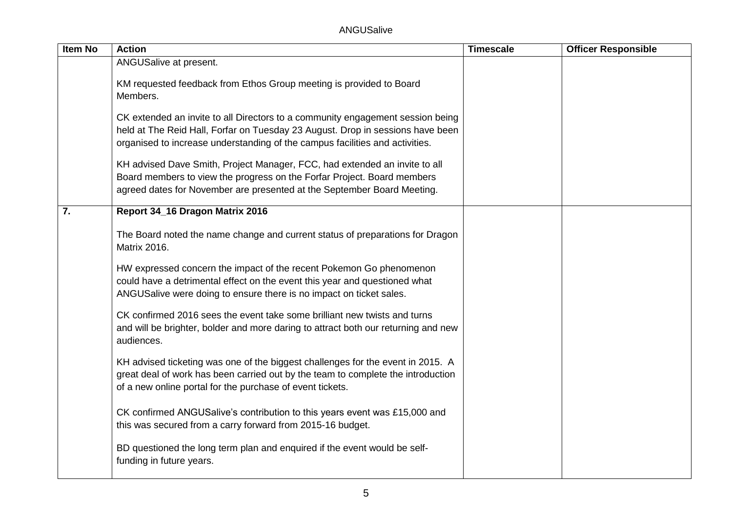| <b>Item No</b>   | <b>Action</b>                                                                                                                                                                                                                                    | <b>Timescale</b> | <b>Officer Responsible</b> |
|------------------|--------------------------------------------------------------------------------------------------------------------------------------------------------------------------------------------------------------------------------------------------|------------------|----------------------------|
|                  | ANGUSalive at present.                                                                                                                                                                                                                           |                  |                            |
|                  | KM requested feedback from Ethos Group meeting is provided to Board<br>Members.                                                                                                                                                                  |                  |                            |
|                  | CK extended an invite to all Directors to a community engagement session being<br>held at The Reid Hall, Forfar on Tuesday 23 August. Drop in sessions have been<br>organised to increase understanding of the campus facilities and activities. |                  |                            |
|                  | KH advised Dave Smith, Project Manager, FCC, had extended an invite to all<br>Board members to view the progress on the Forfar Project. Board members<br>agreed dates for November are presented at the September Board Meeting.                 |                  |                            |
| $\overline{7}$ . | Report 34_16 Dragon Matrix 2016                                                                                                                                                                                                                  |                  |                            |
|                  | The Board noted the name change and current status of preparations for Dragon<br><b>Matrix 2016.</b>                                                                                                                                             |                  |                            |
|                  | HW expressed concern the impact of the recent Pokemon Go phenomenon<br>could have a detrimental effect on the event this year and questioned what<br>ANGUSalive were doing to ensure there is no impact on ticket sales.                         |                  |                            |
|                  | CK confirmed 2016 sees the event take some brilliant new twists and turns<br>and will be brighter, bolder and more daring to attract both our returning and new<br>audiences.                                                                    |                  |                            |
|                  | KH advised ticketing was one of the biggest challenges for the event in 2015. A<br>great deal of work has been carried out by the team to complete the introduction<br>of a new online portal for the purchase of event tickets.                 |                  |                            |
|                  | CK confirmed ANGUSalive's contribution to this years event was £15,000 and<br>this was secured from a carry forward from 2015-16 budget.                                                                                                         |                  |                            |
|                  | BD questioned the long term plan and enquired if the event would be self-<br>funding in future years.                                                                                                                                            |                  |                            |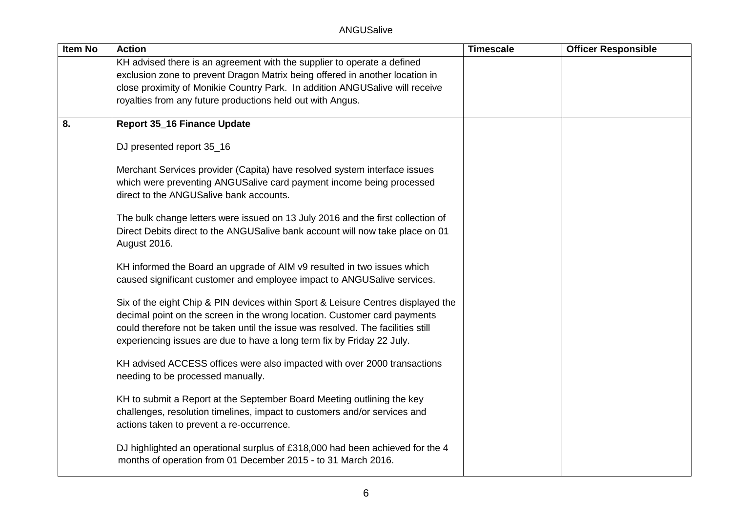| <b>Item No</b> | <b>Action</b>                                                                                                                                                                                                                                                                                                              | <b>Timescale</b> | <b>Officer Responsible</b> |
|----------------|----------------------------------------------------------------------------------------------------------------------------------------------------------------------------------------------------------------------------------------------------------------------------------------------------------------------------|------------------|----------------------------|
|                | KH advised there is an agreement with the supplier to operate a defined                                                                                                                                                                                                                                                    |                  |                            |
|                | exclusion zone to prevent Dragon Matrix being offered in another location in                                                                                                                                                                                                                                               |                  |                            |
|                | close proximity of Monikie Country Park. In addition ANGUSalive will receive                                                                                                                                                                                                                                               |                  |                            |
|                | royalties from any future productions held out with Angus.                                                                                                                                                                                                                                                                 |                  |                            |
| 8.             | <b>Report 35_16 Finance Update</b>                                                                                                                                                                                                                                                                                         |                  |                            |
|                | DJ presented report 35_16                                                                                                                                                                                                                                                                                                  |                  |                            |
|                | Merchant Services provider (Capita) have resolved system interface issues<br>which were preventing ANGUSalive card payment income being processed<br>direct to the ANGUSalive bank accounts.                                                                                                                               |                  |                            |
|                | The bulk change letters were issued on 13 July 2016 and the first collection of<br>Direct Debits direct to the ANGUSalive bank account will now take place on 01<br>August 2016.                                                                                                                                           |                  |                            |
|                | KH informed the Board an upgrade of AIM v9 resulted in two issues which<br>caused significant customer and employee impact to ANGUSalive services.                                                                                                                                                                         |                  |                            |
|                | Six of the eight Chip & PIN devices within Sport & Leisure Centres displayed the<br>decimal point on the screen in the wrong location. Customer card payments<br>could therefore not be taken until the issue was resolved. The facilities still<br>experiencing issues are due to have a long term fix by Friday 22 July. |                  |                            |
|                | KH advised ACCESS offices were also impacted with over 2000 transactions<br>needing to be processed manually.                                                                                                                                                                                                              |                  |                            |
|                | KH to submit a Report at the September Board Meeting outlining the key<br>challenges, resolution timelines, impact to customers and/or services and<br>actions taken to prevent a re-occurrence.                                                                                                                           |                  |                            |
|                | DJ highlighted an operational surplus of £318,000 had been achieved for the 4<br>months of operation from 01 December 2015 - to 31 March 2016.                                                                                                                                                                             |                  |                            |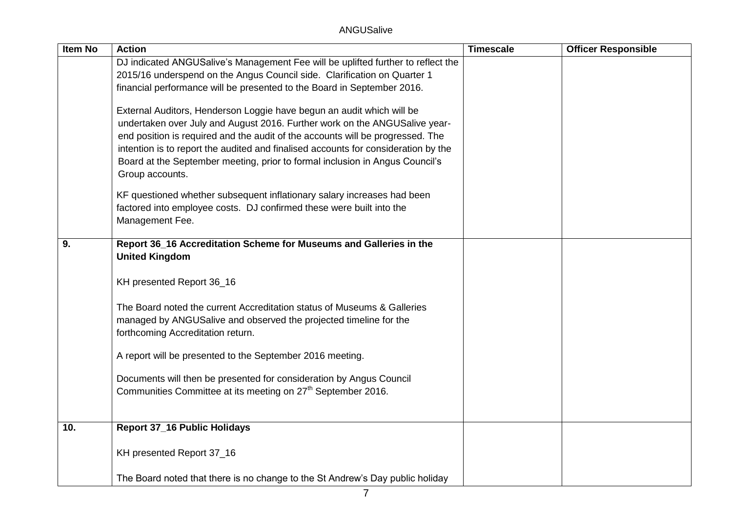| <b>Item No</b> | <b>Action</b>                                                                                   | <b>Timescale</b> | <b>Officer Responsible</b> |
|----------------|-------------------------------------------------------------------------------------------------|------------------|----------------------------|
|                | DJ indicated ANGUSalive's Management Fee will be uplifted further to reflect the                |                  |                            |
|                | 2015/16 underspend on the Angus Council side. Clarification on Quarter 1                        |                  |                            |
|                | financial performance will be presented to the Board in September 2016.                         |                  |                            |
|                | External Auditors, Henderson Loggie have begun an audit which will be                           |                  |                            |
|                | undertaken over July and August 2016. Further work on the ANGUSalive year-                      |                  |                            |
|                | end position is required and the audit of the accounts will be progressed. The                  |                  |                            |
|                | intention is to report the audited and finalised accounts for consideration by the              |                  |                            |
|                | Board at the September meeting, prior to formal inclusion in Angus Council's<br>Group accounts. |                  |                            |
|                | KF questioned whether subsequent inflationary salary increases had been                         |                  |                            |
|                | factored into employee costs. DJ confirmed these were built into the                            |                  |                            |
|                | Management Fee.                                                                                 |                  |                            |
|                |                                                                                                 |                  |                            |
| 9.             | Report 36_16 Accreditation Scheme for Museums and Galleries in the<br><b>United Kingdom</b>     |                  |                            |
|                |                                                                                                 |                  |                            |
|                | KH presented Report 36_16                                                                       |                  |                            |
|                | The Board noted the current Accreditation status of Museums & Galleries                         |                  |                            |
|                | managed by ANGUSalive and observed the projected timeline for the                               |                  |                            |
|                | forthcoming Accreditation return.                                                               |                  |                            |
|                | A report will be presented to the September 2016 meeting.                                       |                  |                            |
|                |                                                                                                 |                  |                            |
|                | Documents will then be presented for consideration by Angus Council                             |                  |                            |
|                | Communities Committee at its meeting on 27 <sup>th</sup> September 2016.                        |                  |                            |
|                |                                                                                                 |                  |                            |
| 10.            | <b>Report 37_16 Public Holidays</b>                                                             |                  |                            |
|                | KH presented Report 37_16                                                                       |                  |                            |
|                |                                                                                                 |                  |                            |
|                | The Board noted that there is no change to the St Andrew's Day public holiday                   |                  |                            |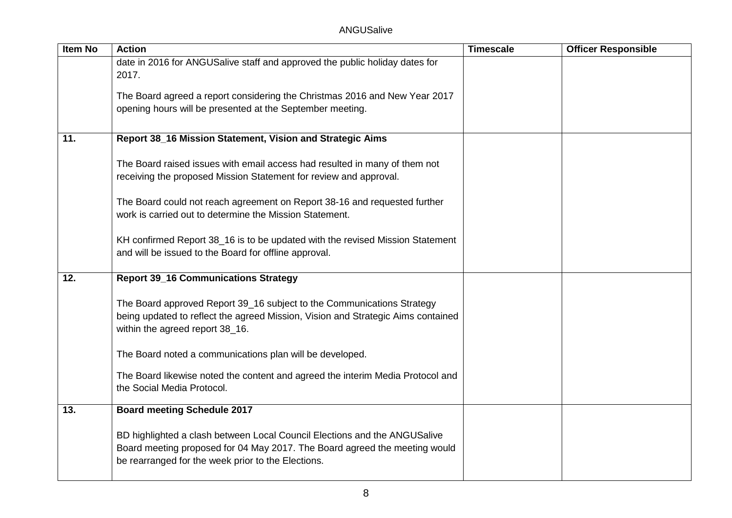| <b>Item No</b> | <b>Action</b>                                                                        | <b>Timescale</b> | <b>Officer Responsible</b> |
|----------------|--------------------------------------------------------------------------------------|------------------|----------------------------|
|                | date in 2016 for ANGUSalive staff and approved the public holiday dates for<br>2017. |                  |                            |
|                |                                                                                      |                  |                            |
|                | The Board agreed a report considering the Christmas 2016 and New Year 2017           |                  |                            |
|                | opening hours will be presented at the September meeting.                            |                  |                            |
|                |                                                                                      |                  |                            |
| 11.            | Report 38_16 Mission Statement, Vision and Strategic Aims                            |                  |                            |
|                |                                                                                      |                  |                            |
|                | The Board raised issues with email access had resulted in many of them not           |                  |                            |
|                | receiving the proposed Mission Statement for review and approval.                    |                  |                            |
|                | The Board could not reach agreement on Report 38-16 and requested further            |                  |                            |
|                | work is carried out to determine the Mission Statement.                              |                  |                            |
|                |                                                                                      |                  |                            |
|                | KH confirmed Report 38_16 is to be updated with the revised Mission Statement        |                  |                            |
|                | and will be issued to the Board for offline approval.                                |                  |                            |
| 12.            | <b>Report 39_16 Communications Strategy</b>                                          |                  |                            |
|                |                                                                                      |                  |                            |
|                | The Board approved Report 39_16 subject to the Communications Strategy               |                  |                            |
|                | being updated to reflect the agreed Mission, Vision and Strategic Aims contained     |                  |                            |
|                | within the agreed report 38_16.                                                      |                  |                            |
|                |                                                                                      |                  |                            |
|                | The Board noted a communications plan will be developed.                             |                  |                            |
|                | The Board likewise noted the content and agreed the interim Media Protocol and       |                  |                            |
|                | the Social Media Protocol.                                                           |                  |                            |
| 13.            | <b>Board meeting Schedule 2017</b>                                                   |                  |                            |
|                |                                                                                      |                  |                            |
|                | BD highlighted a clash between Local Council Elections and the ANGUSalive            |                  |                            |
|                | Board meeting proposed for 04 May 2017. The Board agreed the meeting would           |                  |                            |
|                | be rearranged for the week prior to the Elections.                                   |                  |                            |
|                |                                                                                      |                  |                            |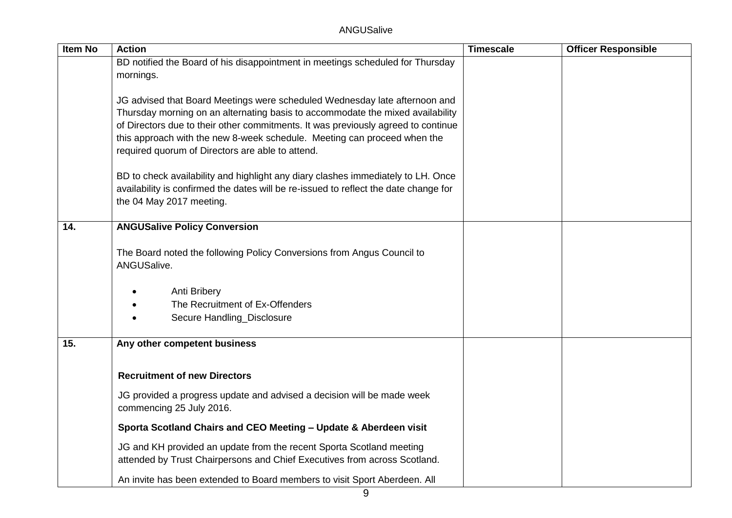ANGUSalive

| <b>Item No</b> | <b>Action</b>                                                                        | <b>Timescale</b> | <b>Officer Responsible</b> |
|----------------|--------------------------------------------------------------------------------------|------------------|----------------------------|
|                | BD notified the Board of his disappointment in meetings scheduled for Thursday       |                  |                            |
|                | mornings.                                                                            |                  |                            |
|                | JG advised that Board Meetings were scheduled Wednesday late afternoon and           |                  |                            |
|                | Thursday morning on an alternating basis to accommodate the mixed availability       |                  |                            |
|                | of Directors due to their other commitments. It was previously agreed to continue    |                  |                            |
|                | this approach with the new 8-week schedule. Meeting can proceed when the             |                  |                            |
|                | required quorum of Directors are able to attend.                                     |                  |                            |
|                | BD to check availability and highlight any diary clashes immediately to LH. Once     |                  |                            |
|                | availability is confirmed the dates will be re-issued to reflect the date change for |                  |                            |
|                | the 04 May 2017 meeting.                                                             |                  |                            |
|                |                                                                                      |                  |                            |
| 14.            | <b>ANGUSalive Policy Conversion</b>                                                  |                  |                            |
|                | The Board noted the following Policy Conversions from Angus Council to               |                  |                            |
|                | ANGUSalive.                                                                          |                  |                            |
|                |                                                                                      |                  |                            |
|                | Anti Bribery                                                                         |                  |                            |
|                | The Recruitment of Ex-Offenders<br>Secure Handling_Disclosure                        |                  |                            |
|                |                                                                                      |                  |                            |
| 15.            | Any other competent business                                                         |                  |                            |
|                |                                                                                      |                  |                            |
|                | <b>Recruitment of new Directors</b>                                                  |                  |                            |
|                | JG provided a progress update and advised a decision will be made week               |                  |                            |
|                | commencing 25 July 2016.                                                             |                  |                            |
|                | Sporta Scotland Chairs and CEO Meeting - Update & Aberdeen visit                     |                  |                            |
|                | JG and KH provided an update from the recent Sporta Scotland meeting                 |                  |                            |
|                | attended by Trust Chairpersons and Chief Executives from across Scotland.            |                  |                            |
|                | An invite has been extended to Board members to visit Sport Aberdeen. All            |                  |                            |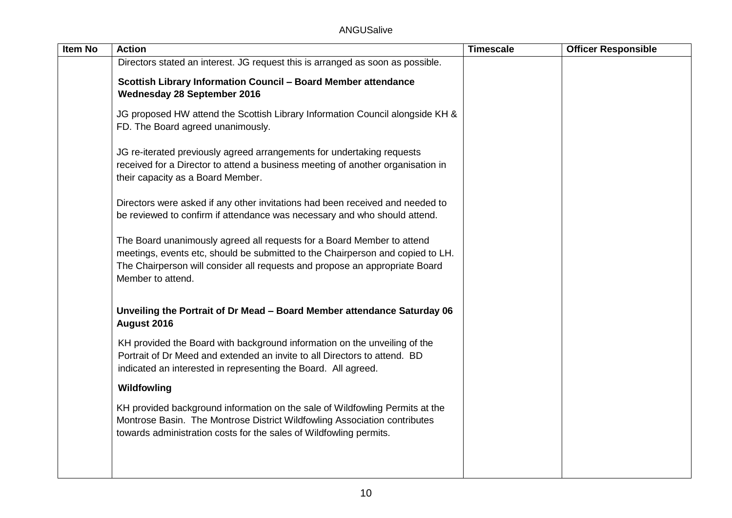| Item No | <b>Action</b>                                                                                                                                                                                                                                                | Timescale | <b>Officer Responsible</b> |
|---------|--------------------------------------------------------------------------------------------------------------------------------------------------------------------------------------------------------------------------------------------------------------|-----------|----------------------------|
|         | Directors stated an interest. JG request this is arranged as soon as possible.                                                                                                                                                                               |           |                            |
|         | Scottish Library Information Council - Board Member attendance<br><b>Wednesday 28 September 2016</b>                                                                                                                                                         |           |                            |
|         | JG proposed HW attend the Scottish Library Information Council alongside KH &<br>FD. The Board agreed unanimously.                                                                                                                                           |           |                            |
|         | JG re-iterated previously agreed arrangements for undertaking requests<br>received for a Director to attend a business meeting of another organisation in<br>their capacity as a Board Member.                                                               |           |                            |
|         | Directors were asked if any other invitations had been received and needed to<br>be reviewed to confirm if attendance was necessary and who should attend.                                                                                                   |           |                            |
|         | The Board unanimously agreed all requests for a Board Member to attend<br>meetings, events etc, should be submitted to the Chairperson and copied to LH.<br>The Chairperson will consider all requests and propose an appropriate Board<br>Member to attend. |           |                            |
|         | Unveiling the Portrait of Dr Mead - Board Member attendance Saturday 06<br>August 2016                                                                                                                                                                       |           |                            |
|         | KH provided the Board with background information on the unveiling of the<br>Portrait of Dr Meed and extended an invite to all Directors to attend. BD<br>indicated an interested in representing the Board. All agreed.                                     |           |                            |
|         | Wildfowling                                                                                                                                                                                                                                                  |           |                            |
|         | KH provided background information on the sale of Wildfowling Permits at the<br>Montrose Basin. The Montrose District Wildfowling Association contributes<br>towards administration costs for the sales of Wildfowling permits.                              |           |                            |
|         |                                                                                                                                                                                                                                                              |           |                            |